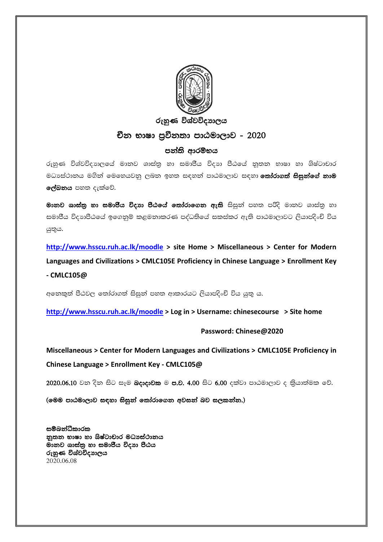

## රුහුණ විශ්වවිදාහලය

## චීන භාෂා පුවීනතා පාඨමාලාව - 2020

## පන්ති ආරම්භය

රුහුණ විශ්වවිදාහලයේ මානව ශාස්තු හා සමාපීය විදාහ පීඨයේ නූතන භාෂා හා ශිෂ්ටාචාර මධාස්ථානය මගින් මෙහෙයවනු ලබන ඉහත සඳහන් පාඨමාලාව සඳහා **තෝරාගත් සිසුන්ගේ නාම** ලේඛනය පහත දැක්වේ.

මානව ශාස්තු හා සමාජීය විදහා පීඨයේ තෝරාගෙන ඇති සිසුන් පහත පරිදි මානව ශාස්තු හා සමාජීය විදාහපීඨයේ ඉගෙනුම් කළමනාකරණ පද්ධතියේ සකස්කර ඇති පාඨමාලාවට ලියාපදිංචි විය යුතුය.

**<http://www.hsscu.ruh.ac.lk/moodle> > site Home > Miscellaneous > Center for Modern Languages and Civilizations > CMLC105E Proficiency in Chinese Language > Enrollment Key - CMLC105@** 

අනෙකුත් පීඨවල තෝරාගත් සිසුන් පහත ආකාරයට ලියාපදිංචි විය යුතු ය.

**<http://www.hsscu.ruh.ac.lk/moodle> > Log in > Username: chinesecourse > Site home**

## **Password: Chinese@2020**

**Miscellaneous > Center for Modern Languages and Civilizations > CMLC105E Proficiency in Chinese Language > Enrollment Key - CMLC105@** 

 $2020.06.10$  වන දින සිට සෑම **බදාදාවක** ම ප.ව. 4.00 සිට 6.00 දක්වා පාඨමාලාව ද කිුයාත්මක වේ.

(මෙම පාඨමාලාව සඳහා සිසුන් තෝරාගෙන අවසන් බව සලකන්න.)

සම්බන්ධීකාරක නුතන භාෂා හා ශිෂ්ටාචාර මධාපස්ථානය මානව ශාස්තු හා සමාජීය විදාහ පීඨය රුහුණ විශ්වවිදාහලය 2020.06.08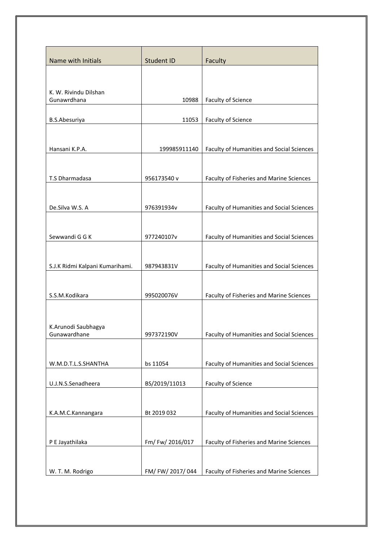| Name with Initials                   | Student ID     | Faculty                                   |
|--------------------------------------|----------------|-------------------------------------------|
|                                      |                |                                           |
| K. W. Rivindu Dilshan<br>Gunawrdhana | 10988          | Faculty of Science                        |
| B.S.Abesuriya                        | 11053          | <b>Faculty of Science</b>                 |
|                                      |                |                                           |
| Hansani K.P.A.                       | 199985911140   | Faculty of Humanities and Social Sciences |
| T.S Dharmadasa                       | 956173540 v    | Faculty of Fisheries and Marine Sciences  |
|                                      |                |                                           |
| De.Silva W.S. A                      | 976391934v     | Faculty of Humanities and Social Sciences |
| Sewwandi G G K                       | 977240107v     | Faculty of Humanities and Social Sciences |
|                                      |                |                                           |
| S.J.K Ridmi Kalpani Kumarihami.      | 987943831V     | Faculty of Humanities and Social Sciences |
| S.S.M.Kodikara                       | 995020076V     | Faculty of Fisheries and Marine Sciences  |
|                                      |                |                                           |
| K.Arunodi Saubhagya<br>Gunawardhane  | 997372190V     | Faculty of Humanities and Social Sciences |
|                                      |                |                                           |
| W.M.D.T.L.S.SHANTHA                  | bs 11054       | Faculty of Humanities and Social Sciences |
| U.J.N.S.Senadheera                   | BS/2019/11013  | <b>Faculty of Science</b>                 |
|                                      |                |                                           |
| K.A.M.C.Kannangara                   | Bt 2019 032    | Faculty of Humanities and Social Sciences |
|                                      |                |                                           |
| P E Jayathilaka                      | Fm/Fw/2016/017 | Faculty of Fisheries and Marine Sciences  |
| W. T. M. Rodrigo                     | FM/FW/2017/044 | Faculty of Fisheries and Marine Sciences  |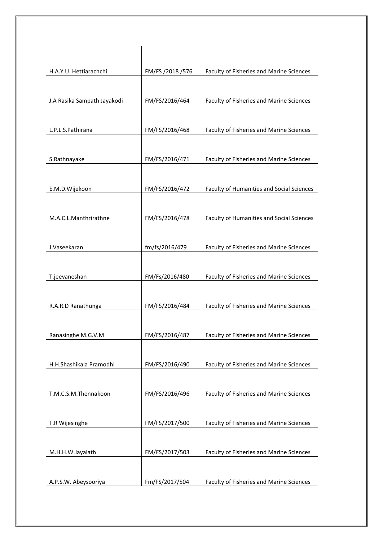| H.A.Y.U. Hettiarachchi      | FM/FS /2018 /576 | Faculty of Fisheries and Marine Sciences         |
|-----------------------------|------------------|--------------------------------------------------|
|                             |                  |                                                  |
| J.A Rasika Sampath Jayakodi | FM/FS/2016/464   | Faculty of Fisheries and Marine Sciences         |
|                             |                  |                                                  |
| L.P.L.S.Pathirana           | FM/FS/2016/468   | Faculty of Fisheries and Marine Sciences         |
|                             |                  |                                                  |
| S.Rathnayake                | FM/FS/2016/471   | Faculty of Fisheries and Marine Sciences         |
| E.M.D.Wijekoon              | FM/FS/2016/472   | <b>Faculty of Humanities and Social Sciences</b> |
|                             |                  |                                                  |
| M.A.C.L.Manthrirathne       | FM/FS/2016/478   | <b>Faculty of Humanities and Social Sciences</b> |
|                             |                  |                                                  |
| J.Vaseekaran                | fm/fs/2016/479   | Faculty of Fisheries and Marine Sciences         |
|                             |                  |                                                  |
| T.jeevaneshan               | FM/Fs/2016/480   | Faculty of Fisheries and Marine Sciences         |
|                             |                  |                                                  |
| R.A.R.D Ranathunga          | FM/FS/2016/484   | Faculty of Fisheries and Marine Sciences         |
| Ranasinghe M.G.V.M          | FM/FS/2016/487   | Faculty of Fisheries and Marine Sciences         |
|                             |                  |                                                  |
| H.H.Shashikala Pramodhi     | FM/FS/2016/490   | Faculty of Fisheries and Marine Sciences         |
|                             |                  |                                                  |
| T.M.C.S.M.Thennakoon        | FM/FS/2016/496   | Faculty of Fisheries and Marine Sciences         |
|                             |                  |                                                  |
| T.R Wijesinghe              | FM/FS/2017/500   | Faculty of Fisheries and Marine Sciences         |
| M.H.H.W.Jayalath            | FM/FS/2017/503   | Faculty of Fisheries and Marine Sciences         |
|                             |                  |                                                  |
| A.P.S.W. Abeysooriya        | Fm/FS/2017/504   | Faculty of Fisheries and Marine Sciences         |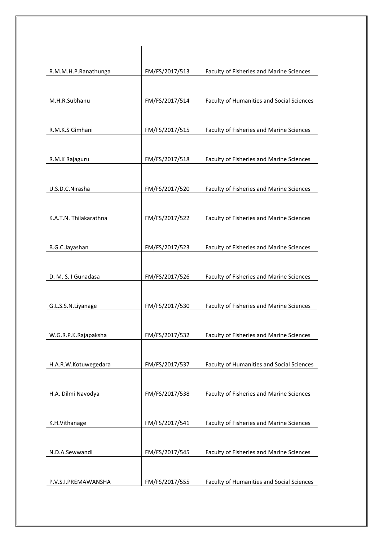| R.M.M.H.P.Ranathunga   | FM/FS/2017/513 | Faculty of Fisheries and Marine Sciences  |
|------------------------|----------------|-------------------------------------------|
|                        |                |                                           |
| M.H.R.Subhanu          | FM/FS/2017/514 | Faculty of Humanities and Social Sciences |
| R.M.K.S Gimhani        | FM/FS/2017/515 | Faculty of Fisheries and Marine Sciences  |
|                        |                |                                           |
| R.M.K Rajaguru         | FM/FS/2017/518 | Faculty of Fisheries and Marine Sciences  |
| U.S.D.C.Nirasha        | FM/FS/2017/520 | Faculty of Fisheries and Marine Sciences  |
|                        |                |                                           |
| K.A.T.N. Thilakarathna | FM/FS/2017/522 | Faculty of Fisheries and Marine Sciences  |
| B.G.C.Jayashan         | FM/FS/2017/523 | Faculty of Fisheries and Marine Sciences  |
| D. M. S. I Gunadasa    | FM/FS/2017/526 | Faculty of Fisheries and Marine Sciences  |
| G.L.S.S.N.Liyanage     | FM/FS/2017/530 | Faculty of Fisheries and Marine Sciences  |
|                        |                |                                           |
| W.G.R.P.K.Rajapaksha   | FM/FS/2017/532 | Faculty of Fisheries and Marine Sciences  |
|                        |                |                                           |
| H.A.R.W.Kotuwegedara   | FM/FS/2017/537 | Faculty of Humanities and Social Sciences |
| H.A. Dilmi Navodya     | FM/FS/2017/538 | Faculty of Fisheries and Marine Sciences  |
| K.H.Vithanage          | FM/FS/2017/541 | Faculty of Fisheries and Marine Sciences  |
|                        |                |                                           |
| N.D.A.Sewwandi         | FM/FS/2017/545 | Faculty of Fisheries and Marine Sciences  |
| P.V.S.I.PREMAWANSHA    | FM/FS/2017/555 | Faculty of Humanities and Social Sciences |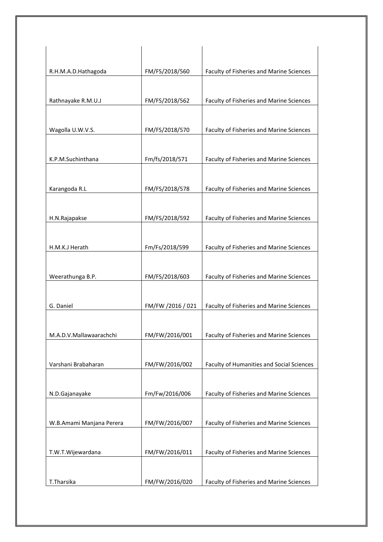| R.H.M.A.D.Hathagoda      | FM/FS/2018/560    | Faculty of Fisheries and Marine Sciences        |
|--------------------------|-------------------|-------------------------------------------------|
|                          |                   |                                                 |
| Rathnayake R.M.U.J       | FM/FS/2018/562    | Faculty of Fisheries and Marine Sciences        |
|                          |                   |                                                 |
| Wagolla U.W.V.S.         | FM/FS/2018/570    | Faculty of Fisheries and Marine Sciences        |
|                          |                   |                                                 |
| K.P.M.Suchinthana        | Fm/fs/2018/571    | Faculty of Fisheries and Marine Sciences        |
|                          |                   |                                                 |
| Karangoda R.L            | FM/FS/2018/578    | Faculty of Fisheries and Marine Sciences        |
|                          |                   |                                                 |
| H.N.Rajapakse            | FM/FS/2018/592    | Faculty of Fisheries and Marine Sciences        |
|                          |                   |                                                 |
| H.M.K.J Herath           | Fm/Fs/2018/599    | Faculty of Fisheries and Marine Sciences        |
|                          |                   |                                                 |
| Weerathunga B.P.         | FM/FS/2018/603    | Faculty of Fisheries and Marine Sciences        |
|                          |                   |                                                 |
| G. Daniel                | FM/FW /2016 / 021 | Faculty of Fisheries and Marine Sciences        |
|                          |                   |                                                 |
|                          |                   |                                                 |
| M.A.D.V.Mallawaarachchi  | FM/FW/2016/001    | <b>Faculty of Fisheries and Marine Sciences</b> |
|                          |                   |                                                 |
| Varshani Brabaharan      | FM/FW/2016/002    | Faculty of Humanities and Social Sciences       |
|                          |                   |                                                 |
| N.D.Gajanayake           | Fm/Fw/2016/006    | Faculty of Fisheries and Marine Sciences        |
|                          |                   |                                                 |
| W.B.Amami Manjana Perera | FM/FW/2016/007    | Faculty of Fisheries and Marine Sciences        |
|                          |                   |                                                 |
| T.W.T.Wijewardana        | FM/FW/2016/011    | Faculty of Fisheries and Marine Sciences        |
|                          |                   |                                                 |
| T.Tharsika               | FM/FW/2016/020    | Faculty of Fisheries and Marine Sciences        |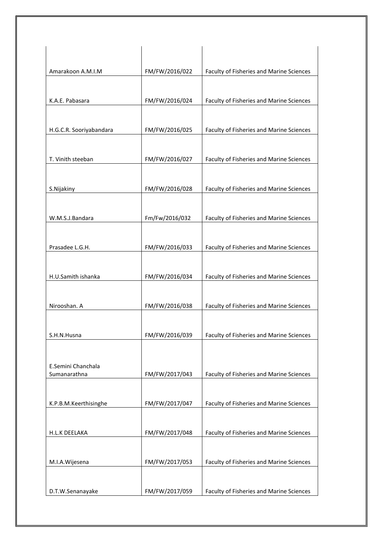| Amarakoon A.M.I.M       | FM/FW/2016/022 | Faculty of Fisheries and Marine Sciences |
|-------------------------|----------------|------------------------------------------|
|                         |                |                                          |
| K.A.E. Pabasara         | FM/FW/2016/024 | Faculty of Fisheries and Marine Sciences |
|                         |                |                                          |
| H.G.C.R. Sooriyabandara | FM/FW/2016/025 | Faculty of Fisheries and Marine Sciences |
|                         |                |                                          |
| T. Vinith steeban       | FM/FW/2016/027 | Faculty of Fisheries and Marine Sciences |
|                         |                |                                          |
| S.Nijakiny              | FM/FW/2016/028 | Faculty of Fisheries and Marine Sciences |
|                         |                |                                          |
| W.M.S.J.Bandara         | Fm/Fw/2016/032 | Faculty of Fisheries and Marine Sciences |
| Prasadee L.G.H.         | FM/FW/2016/033 | Faculty of Fisheries and Marine Sciences |
|                         |                |                                          |
| H.U.Samith ishanka      | FM/FW/2016/034 | Faculty of Fisheries and Marine Sciences |
|                         |                |                                          |
| Nirooshan. A            | FM/FW/2016/038 | Faculty of Fisheries and Marine Sciences |
|                         |                |                                          |
| S.H.N.Husna             | FM/FW/2016/039 | Faculty of Fisheries and Marine Sciences |
|                         |                |                                          |
| E.Semini Chanchala      |                |                                          |
| Sumanarathna            | FM/FW/2017/043 | Faculty of Fisheries and Marine Sciences |
| K.P.B.M.Keerthisinghe   | FM/FW/2017/047 | Faculty of Fisheries and Marine Sciences |
|                         |                |                                          |
| H.L.K DEELAKA           | FM/FW/2017/048 | Faculty of Fisheries and Marine Sciences |
|                         |                |                                          |
| M.I.A.Wijesena          | FM/FW/2017/053 | Faculty of Fisheries and Marine Sciences |
|                         |                |                                          |
| D.T.W.Senanayake        | FM/FW/2017/059 | Faculty of Fisheries and Marine Sciences |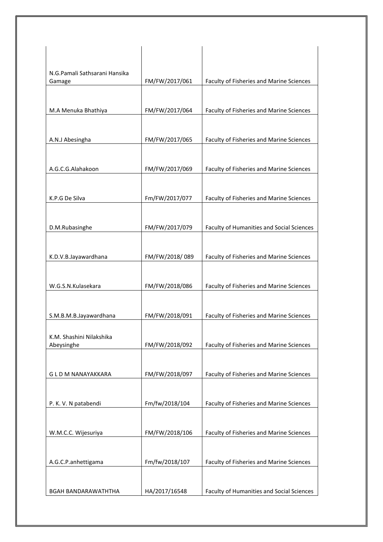| N.G.Pamali Sathsarani Hansika |                |                                                  |
|-------------------------------|----------------|--------------------------------------------------|
| Gamage                        | FM/FW/2017/061 | Faculty of Fisheries and Marine Sciences         |
|                               |                |                                                  |
|                               |                |                                                  |
| M.A Menuka Bhathiya           | FM/FW/2017/064 | Faculty of Fisheries and Marine Sciences         |
|                               |                |                                                  |
| A.N.J Abesingha               | FM/FW/2017/065 | Faculty of Fisheries and Marine Sciences         |
|                               |                |                                                  |
|                               |                |                                                  |
| A.G.C.G.Alahakoon             | FM/FW/2017/069 | Faculty of Fisheries and Marine Sciences         |
|                               |                |                                                  |
| K.P.G De Silva                | Fm/FW/2017/077 | Faculty of Fisheries and Marine Sciences         |
|                               |                |                                                  |
|                               |                |                                                  |
| D.M.Rubasinghe                | FM/FW/2017/079 | <b>Faculty of Humanities and Social Sciences</b> |
|                               |                |                                                  |
| K.D.V.B.Jayawardhana          | FM/FW/2018/089 | Faculty of Fisheries and Marine Sciences         |
|                               |                |                                                  |
|                               |                |                                                  |
| W.G.S.N.Kulasekara            | FM/FW/2018/086 | Faculty of Fisheries and Marine Sciences         |
|                               |                |                                                  |
|                               |                |                                                  |
| S.M.B.M.B.Jayawardhana        | FM/FW/2018/091 | Faculty of Fisheries and Marine Sciences         |
| K.M. Shashini Nilakshika      |                |                                                  |
| Abeysinghe                    | FM/FW/2018/092 | Faculty of Fisheries and Marine Sciences         |
|                               |                |                                                  |
|                               |                |                                                  |
| G L D M NANAYAKKARA           | FM/FW/2018/097 | Faculty of Fisheries and Marine Sciences         |
|                               |                |                                                  |
| P. K. V. N patabendi          | Fm/fw/2018/104 | Faculty of Fisheries and Marine Sciences         |
|                               |                |                                                  |
|                               |                |                                                  |
| W.M.C.C. Wijesuriya           | FM/FW/2018/106 | Faculty of Fisheries and Marine Sciences         |
|                               |                |                                                  |
| A.G.C.P.anhettigama           | Fm/fw/2018/107 | Faculty of Fisheries and Marine Sciences         |
|                               |                |                                                  |
|                               |                |                                                  |
| BGAH BANDARAWATHTHA           | HA/2017/16548  | Faculty of Humanities and Social Sciences        |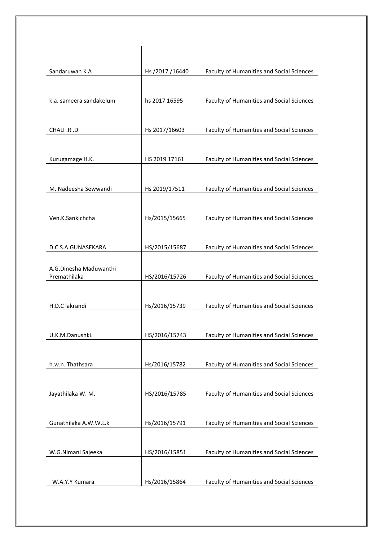| Sandaruwan K A                         | Hs /2017 /16440 | Faculty of Humanities and Social Sciences        |
|----------------------------------------|-----------------|--------------------------------------------------|
|                                        |                 |                                                  |
| k.a. sameera sandakelum                | hs 2017 16595   | Faculty of Humanities and Social Sciences        |
|                                        |                 |                                                  |
| CHALI .R .D                            | Hs 2017/16603   | Faculty of Humanities and Social Sciences        |
|                                        |                 |                                                  |
| Kurugamage H.K.                        | HS 2019 17161   | Faculty of Humanities and Social Sciences        |
|                                        |                 |                                                  |
| M. Nadeesha Sewwandi                   | Hs 2019/17511   | Faculty of Humanities and Social Sciences        |
|                                        |                 |                                                  |
| Ven.K.Sankichcha                       | Hs/2015/15665   | Faculty of Humanities and Social Sciences        |
|                                        |                 |                                                  |
| D.C.S.A.GUNASEKARA                     | HS/2015/15687   | Faculty of Humanities and Social Sciences        |
|                                        |                 |                                                  |
| A.G.Dinesha Maduwanthi<br>Premathilaka | HS/2016/15726   | Faculty of Humanities and Social Sciences        |
|                                        |                 |                                                  |
| H.D.C lakrandi                         | Hs/2016/15739   | Faculty of Humanities and Social Sciences        |
|                                        |                 |                                                  |
| U.K.M.Danushki.                        | HS/2016/15743   | <b>Faculty of Humanities and Social Sciences</b> |
|                                        |                 |                                                  |
| h.w.n. Thathsara                       | Hs/2016/15782   | Faculty of Humanities and Social Sciences        |
|                                        |                 |                                                  |
| Jayathilaka W. M.                      | HS/2016/15785   | Faculty of Humanities and Social Sciences        |
|                                        |                 |                                                  |
| Gunathilaka A.W.W.L.k                  | Hs/2016/15791   | Faculty of Humanities and Social Sciences        |
|                                        |                 |                                                  |
| W.G.Nimani Sajeeka                     | HS/2016/15851   | Faculty of Humanities and Social Sciences        |
|                                        |                 |                                                  |
|                                        |                 |                                                  |
| W.A.Y.Y Kumara                         | Hs/2016/15864   | Faculty of Humanities and Social Sciences        |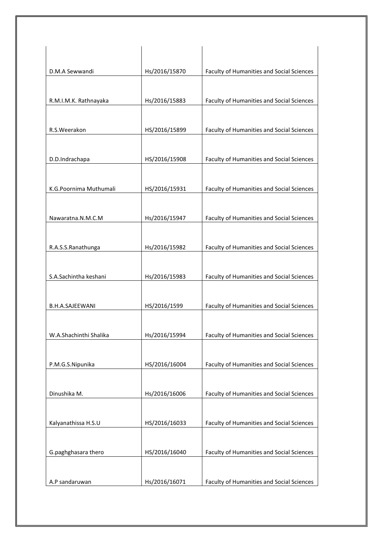| D.M.A Sewwandi         | Hs/2016/15870 | Faculty of Humanities and Social Sciences        |
|------------------------|---------------|--------------------------------------------------|
|                        |               |                                                  |
| R.M.I.M.K. Rathnayaka  | Hs/2016/15883 | Faculty of Humanities and Social Sciences        |
| R.S.Weerakon           |               | Faculty of Humanities and Social Sciences        |
|                        | HS/2016/15899 |                                                  |
| D.D.Indrachapa         | HS/2016/15908 | Faculty of Humanities and Social Sciences        |
|                        |               |                                                  |
| K.G.Poornima Muthumali | HS/2016/15931 | Faculty of Humanities and Social Sciences        |
|                        |               |                                                  |
| Nawaratna.N.M.C.M      | Hs/2016/15947 | <b>Faculty of Humanities and Social Sciences</b> |
| R.A.S.S.Ranathunga     | Hs/2016/15982 | <b>Faculty of Humanities and Social Sciences</b> |
|                        |               |                                                  |
| S.A.Sachintha keshani  | Hs/2016/15983 | Faculty of Humanities and Social Sciences        |
|                        |               |                                                  |
| <b>B.H.A.SAJEEWANI</b> | HS/2016/1599  | Faculty of Humanities and Social Sciences        |
| W.A.Shachinthi Shalika | Hs/2016/15994 | Faculty of Humanities and Social Sciences        |
|                        |               |                                                  |
| P.M.G.S.Nipunika       | HS/2016/16004 | Faculty of Humanities and Social Sciences        |
| Dinushika M.           | Hs/2016/16006 | Faculty of Humanities and Social Sciences        |
|                        |               |                                                  |
| Kalyanathissa H.S.U    | HS/2016/16033 | Faculty of Humanities and Social Sciences        |
| G.paghghasara thero    | HS/2016/16040 | <b>Faculty of Humanities and Social Sciences</b> |
|                        |               |                                                  |
| A.P sandaruwan         | Hs/2016/16071 | Faculty of Humanities and Social Sciences        |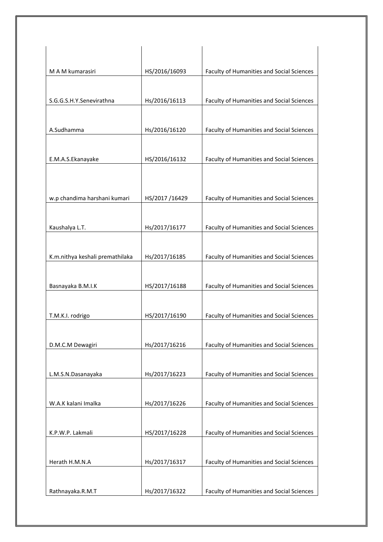| M A M kumarasiri                | HS/2016/16093 | Faculty of Humanities and Social Sciences        |
|---------------------------------|---------------|--------------------------------------------------|
| S.G.G.S.H.Y.Senevirathna        |               |                                                  |
|                                 | Hs/2016/16113 | Faculty of Humanities and Social Sciences        |
| A.Sudhamma                      | Hs/2016/16120 | Faculty of Humanities and Social Sciences        |
| E.M.A.S.Ekanayake               | HS/2016/16132 | Faculty of Humanities and Social Sciences        |
|                                 |               |                                                  |
| w.p chandima harshani kumari    | HS/2017/16429 | Faculty of Humanities and Social Sciences        |
|                                 |               |                                                  |
| Kaushalya L.T.                  | Hs/2017/16177 | Faculty of Humanities and Social Sciences        |
|                                 |               |                                                  |
| K.m.nithya keshali premathilaka | Hs/2017/16185 | Faculty of Humanities and Social Sciences        |
| Basnayaka B.M.I.K               | HS/2017/16188 | Faculty of Humanities and Social Sciences        |
|                                 |               |                                                  |
| T.M.K.I. rodrigo                | HS/2017/16190 | Faculty of Humanities and Social Sciences        |
| D.M.C.M Dewagiri                | Hs/2017/16216 | Faculty of Humanities and Social Sciences        |
|                                 |               |                                                  |
| L.M.S.N.Dasanayaka              | Hs/2017/16223 | Faculty of Humanities and Social Sciences        |
| W.A.K kalani Imalka             | Hs/2017/16226 | Faculty of Humanities and Social Sciences        |
|                                 |               |                                                  |
| K.P.W.P. Lakmali                | HS/2017/16228 | Faculty of Humanities and Social Sciences        |
| Herath H.M.N.A                  | Hs/2017/16317 | Faculty of Humanities and Social Sciences        |
| Rathnayaka.R.M.T                | Hs/2017/16322 | <b>Faculty of Humanities and Social Sciences</b> |
|                                 |               |                                                  |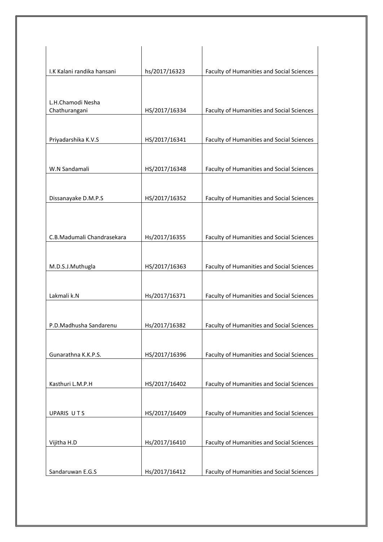| I.K Kalani randika hansani         | hs/2017/16323 | Faculty of Humanities and Social Sciences |
|------------------------------------|---------------|-------------------------------------------|
|                                    |               |                                           |
|                                    |               |                                           |
| L.H.Chamodi Nesha<br>Chathurangani | HS/2017/16334 | Faculty of Humanities and Social Sciences |
|                                    |               |                                           |
| Priyadarshika K.V.S                | HS/2017/16341 | Faculty of Humanities and Social Sciences |
|                                    |               |                                           |
| W.N Sandamali                      | HS/2017/16348 | Faculty of Humanities and Social Sciences |
|                                    |               |                                           |
|                                    | HS/2017/16352 |                                           |
| Dissanayake D.M.P.S                |               | Faculty of Humanities and Social Sciences |
|                                    |               |                                           |
| C.B.Madumali Chandrasekara         | Hs/2017/16355 | Faculty of Humanities and Social Sciences |
|                                    |               |                                           |
| M.D.S.J.Muthugla                   | HS/2017/16363 | Faculty of Humanities and Social Sciences |
|                                    |               |                                           |
| Lakmali k.N                        | Hs/2017/16371 | Faculty of Humanities and Social Sciences |
|                                    |               |                                           |
| P.D.Madhusha Sandarenu             | Hs/2017/16382 | Faculty of Humanities and Social Sciences |
|                                    |               |                                           |
|                                    | HS/2017/16396 |                                           |
| Gunarathna K.K.P.S.                |               | Faculty of Humanities and Social Sciences |
|                                    |               |                                           |
| Kasthuri L.M.P.H                   | HS/2017/16402 | Faculty of Humanities and Social Sciences |
|                                    |               |                                           |
| UPARIS UTS                         | HS/2017/16409 | Faculty of Humanities and Social Sciences |
|                                    |               |                                           |
| Vijitha H.D                        | Hs/2017/16410 | Faculty of Humanities and Social Sciences |
|                                    |               |                                           |
| Sandaruwan E.G.S                   | Hs/2017/16412 | Faculty of Humanities and Social Sciences |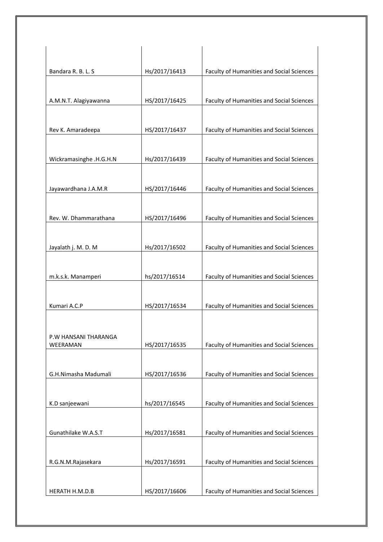| Bandara R. B. L. S               | Hs/2017/16413 | Faculty of Humanities and Social Sciences |
|----------------------------------|---------------|-------------------------------------------|
|                                  |               |                                           |
| A.M.N.T. Alagiyawanna            | HS/2017/16425 | Faculty of Humanities and Social Sciences |
| Rev K. Amaradeepa                | HS/2017/16437 | Faculty of Humanities and Social Sciences |
| Wickramasinghe .H.G.H.N          | Hs/2017/16439 | Faculty of Humanities and Social Sciences |
| Jayawardhana J.A.M.R             | HS/2017/16446 | Faculty of Humanities and Social Sciences |
| Rev. W. Dhammarathana            | HS/2017/16496 | Faculty of Humanities and Social Sciences |
| Jayalath j. M. D. M              | Hs/2017/16502 | Faculty of Humanities and Social Sciences |
|                                  |               |                                           |
| m.k.s.k. Manamperi               | hs/2017/16514 | Faculty of Humanities and Social Sciences |
| Kumari A.C.P                     | HS/2017/16534 | Faculty of Humanities and Social Sciences |
| P.W HANSANI THARANGA<br>WEERAMAN | HS/2017/16535 | Faculty of Humanities and Social Sciences |
| G.H.Nimasha Madumali             | HS/2017/16536 | Faculty of Humanities and Social Sciences |
| K.D sanjeewani                   | hs/2017/16545 | Faculty of Humanities and Social Sciences |
| Gunathilake W.A.S.T              | Hs/2017/16581 | Faculty of Humanities and Social Sciences |
| R.G.N.M.Rajasekara               | Hs/2017/16591 | Faculty of Humanities and Social Sciences |
| HERATH H.M.D.B                   | HS/2017/16606 | Faculty of Humanities and Social Sciences |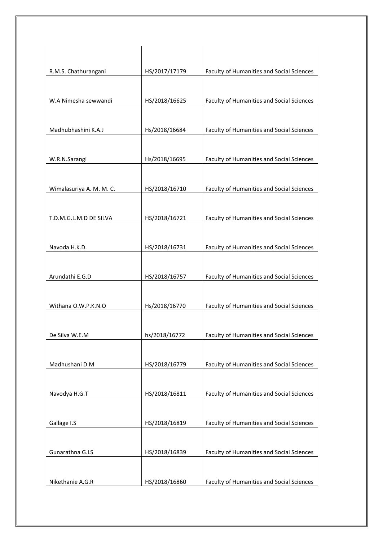| R.M.S. Chathurangani     | HS/2017/17179 | Faculty of Humanities and Social Sciences        |
|--------------------------|---------------|--------------------------------------------------|
|                          |               |                                                  |
| W.A Nimesha sewwandi     | HS/2018/16625 | Faculty of Humanities and Social Sciences        |
|                          |               |                                                  |
| Madhubhashini K.A.J      | Hs/2018/16684 | Faculty of Humanities and Social Sciences        |
|                          |               |                                                  |
| W.R.N.Sarangi            | Hs/2018/16695 | Faculty of Humanities and Social Sciences        |
|                          |               |                                                  |
| Wimalasuriya A. M. M. C. | HS/2018/16710 | Faculty of Humanities and Social Sciences        |
|                          |               |                                                  |
| T.D.M.G.L.M.D DE SILVA   | HS/2018/16721 | Faculty of Humanities and Social Sciences        |
|                          |               |                                                  |
| Navoda H.K.D.            | HS/2018/16731 | <b>Faculty of Humanities and Social Sciences</b> |
|                          |               |                                                  |
| Arundathi E.G.D          | HS/2018/16757 | Faculty of Humanities and Social Sciences        |
|                          |               |                                                  |
| Withana O.W.P.K.N.O      | Hs/2018/16770 | Faculty of Humanities and Social Sciences        |
|                          |               |                                                  |
| De Silva W.E.M           | hs/2018/16772 | Faculty of Humanities and Social Sciences        |
|                          |               |                                                  |
| Madhushani D.M           | HS/2018/16779 | Faculty of Humanities and Social Sciences        |
|                          |               |                                                  |
| Navodya H.G.T            | HS/2018/16811 | Faculty of Humanities and Social Sciences        |
|                          |               |                                                  |
| Gallage I.S              | HS/2018/16819 | Faculty of Humanities and Social Sciences        |
|                          |               |                                                  |
| Gunarathna G.LS          | HS/2018/16839 | Faculty of Humanities and Social Sciences        |
|                          |               |                                                  |
| Nikethanie A.G.R         | HS/2018/16860 | Faculty of Humanities and Social Sciences        |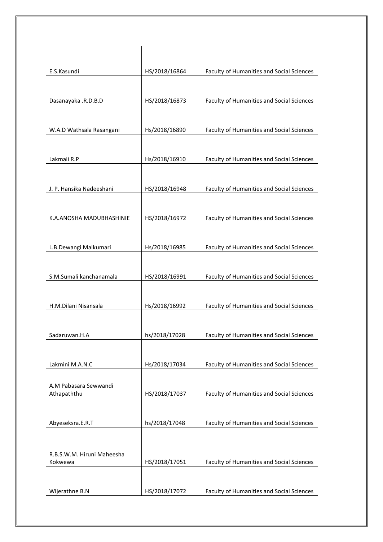| E.S.Kasundi                          | HS/2018/16864 | Faculty of Humanities and Social Sciences        |
|--------------------------------------|---------------|--------------------------------------------------|
|                                      |               |                                                  |
| Dasanayaka .R.D.B.D                  | HS/2018/16873 | Faculty of Humanities and Social Sciences        |
| W.A.D Wathsala Rasangani             | Hs/2018/16890 | Faculty of Humanities and Social Sciences        |
| Lakmali R.P                          | Hs/2018/16910 | Faculty of Humanities and Social Sciences        |
| J. P. Hansika Nadeeshani             | HS/2018/16948 | Faculty of Humanities and Social Sciences        |
| K.A.ANOSHA MADUBHASHINIE             | HS/2018/16972 | Faculty of Humanities and Social Sciences        |
|                                      |               |                                                  |
| L.B.Dewangi Malkumari                | Hs/2018/16985 | Faculty of Humanities and Social Sciences        |
| S.M.Sumali kanchanamala              | HS/2018/16991 | Faculty of Humanities and Social Sciences        |
| H.M.Dilani Nisansala                 | Hs/2018/16992 | Faculty of Humanities and Social Sciences        |
| Sadaruwan.H.A                        | hs/2018/17028 | Faculty of Humanities and Social Sciences        |
| Lakmini M.A.N.C                      | Hs/2018/17034 | Faculty of Humanities and Social Sciences        |
| A.M Pabasara Sewwandi<br>Athapaththu | HS/2018/17037 | <b>Faculty of Humanities and Social Sciences</b> |
| Abyeseksra.E.R.T                     | hs/2018/17048 | Faculty of Humanities and Social Sciences        |
| R.B.S.W.M. Hiruni Maheesha           |               |                                                  |
| Kokwewa                              | HS/2018/17051 | Faculty of Humanities and Social Sciences        |
| Wijerathne B.N                       | HS/2018/17072 | Faculty of Humanities and Social Sciences        |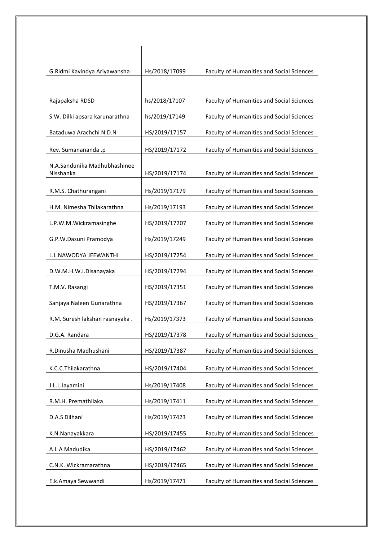| G.Ridmi Kavindya Ariyawansha              | Hs/2018/17099 | Faculty of Humanities and Social Sciences        |
|-------------------------------------------|---------------|--------------------------------------------------|
|                                           |               |                                                  |
| Rajapaksha RDSD                           | hs/2018/17107 | Faculty of Humanities and Social Sciences        |
| S.W. Dilki apsara karunarathna            | hs/2019/17149 | Faculty of Humanities and Social Sciences        |
| Bataduwa Arachchi N.D.N                   | HS/2019/17157 | Faculty of Humanities and Social Sciences        |
| Rev. Sumanananda .p                       | HS/2019/17172 | Faculty of Humanities and Social Sciences        |
| N.A.Sandunika Madhubhashinee<br>Nisshanka | HS/2019/17174 | Faculty of Humanities and Social Sciences        |
| R.M.S. Chathurangani                      | Hs/2019/17179 | Faculty of Humanities and Social Sciences        |
| H.M. Nimesha Thilakarathna                | Hs/2019/17193 | <b>Faculty of Humanities and Social Sciences</b> |
| L.P.W.M.Wickramasinghe                    | HS/2019/17207 | <b>Faculty of Humanities and Social Sciences</b> |
| G.P.W.Dasuni Pramodya                     | Hs/2019/17249 | Faculty of Humanities and Social Sciences        |
| L.L.NAWODYA JEEWANTHI                     | HS/2019/17254 | Faculty of Humanities and Social Sciences        |
| D.W.M.H.W.I.Disanayaka                    | HS/2019/17294 | Faculty of Humanities and Social Sciences        |
| T.M.V. Rasangi                            | HS/2019/17351 | Faculty of Humanities and Social Sciences        |
| Sanjaya Naleen Gunarathna                 | HS/2019/17367 | Faculty of Humanities and Social Sciences        |
| R.M. Suresh lakshan rasnayaka.            | Hs/2019/17373 | Faculty of Humanities and Social Sciences        |
| D.G.A. Randara                            | HS/2019/17378 | <b>Faculty of Humanities and Social Sciences</b> |
| R.Dinusha Madhushani                      | HS/2019/17387 | Faculty of Humanities and Social Sciences        |
| K.C.C.Thilakarathna                       | HS/2019/17404 | Faculty of Humanities and Social Sciences        |
| J.L.L.Jayamini                            | Hs/2019/17408 | Faculty of Humanities and Social Sciences        |
| R.M.H. Premathilaka                       | Hs/2019/17411 | Faculty of Humanities and Social Sciences        |
| D.A.S Dilhani                             | Hs/2019/17423 | <b>Faculty of Humanities and Social Sciences</b> |
| K.N.Nanayakkara                           | HS/2019/17455 | Faculty of Humanities and Social Sciences        |
| A.L.A Madudika                            | HS/2019/17462 | Faculty of Humanities and Social Sciences        |
| C.N.K. Wickramarathna                     | HS/2019/17465 | Faculty of Humanities and Social Sciences        |
| E.k.Amaya Sewwandi                        | Hs/2019/17471 | Faculty of Humanities and Social Sciences        |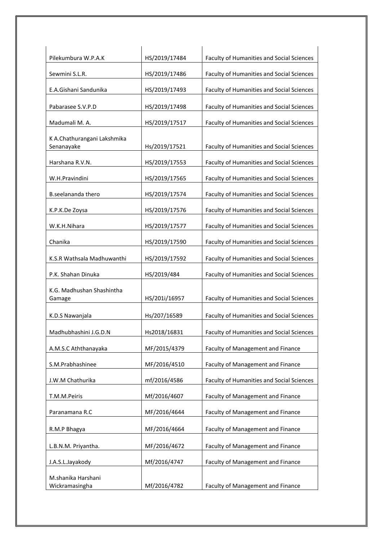| Pilekumbura W.P.A.K                       | HS/2019/17484 | Faculty of Humanities and Social Sciences        |
|-------------------------------------------|---------------|--------------------------------------------------|
| Sewmini S.L.R.                            | HS/2019/17486 | Faculty of Humanities and Social Sciences        |
| E.A.Gishani Sandunika                     | HS/2019/17493 | <b>Faculty of Humanities and Social Sciences</b> |
| Pabarasee S.V.P.D                         | HS/2019/17498 | Faculty of Humanities and Social Sciences        |
| Madumali M. A.                            | HS/2019/17517 | Faculty of Humanities and Social Sciences        |
| K A.Chathurangani Lakshmika<br>Senanayake | Hs/2019/17521 | Faculty of Humanities and Social Sciences        |
| Harshana R.V.N.                           | HS/2019/17553 | Faculty of Humanities and Social Sciences        |
| W.H.Pravindini                            | HS/2019/17565 | Faculty of Humanities and Social Sciences        |
| B.seelananda thero                        | HS/2019/17574 | Faculty of Humanities and Social Sciences        |
| K.P.K.De Zoysa                            | HS/2019/17576 | Faculty of Humanities and Social Sciences        |
| W.K.H.Nihara                              | HS/2019/17577 | Faculty of Humanities and Social Sciences        |
| Chanika                                   | HS/2019/17590 | Faculty of Humanities and Social Sciences        |
| K.S.R Wathsala Madhuwanthi                | HS/2019/17592 | Faculty of Humanities and Social Sciences        |
| P.K. Shahan Dinuka                        | HS/2019/484   | Faculty of Humanities and Social Sciences        |
| K.G. Madhushan Shashintha<br>Gamage       | HS/201i/16957 | Faculty of Humanities and Social Sciences        |
| K.D.S Nawanjala                           | Hs/207/16589  | Faculty of Humanities and Social Sciences        |
| Madhubhashini J.G.D.N                     | Hs2018/16831  | Faculty of Humanities and Social Sciences        |
| A.M.S.C Aththanayaka                      | MF/2015/4379  | Faculty of Management and Finance                |
| S.M.Prabhashinee                          | MF/2016/4510  | Faculty of Management and Finance                |
| J.W.M Chathurika                          | mf/2016/4586  | Faculty of Humanities and Social Sciences        |
| T.M.M.Peiris                              | Mf/2016/4607  | Faculty of Management and Finance                |
| Paranamana R.C                            | MF/2016/4644  | Faculty of Management and Finance                |
| R.M.P Bhagya                              | MF/2016/4664  | Faculty of Management and Finance                |
| L.B.N.M. Priyantha.                       | MF/2016/4672  | Faculty of Management and Finance                |
| J.A.S.L.Jayakody                          | Mf/2016/4747  | Faculty of Management and Finance                |
| M.shanika Harshani<br>Wickramasingha      | Mf/2016/4782  | Faculty of Management and Finance                |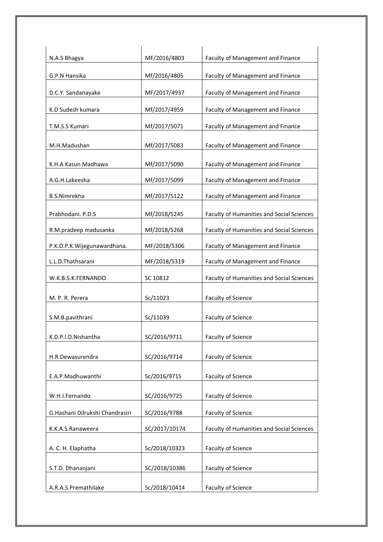| N.A.S Bhagya                    | MF/2016/4803  | Faculty of Management and Finance                |
|---------------------------------|---------------|--------------------------------------------------|
| G.P.N Hansika                   | Mf/2016/4805  | Faculty of Management and Finance                |
|                                 |               |                                                  |
| D.C.Y. Sandanayake              | MF/2017/4937  | Faculty of Management and Finance                |
| K.D Sudesh kumara               | Mf/2017/4959  | Faculty of Management and Finance                |
| T.M.S.S Kumari                  | Mf/2017/5071  | Faculty of Management and Finance                |
| M.H.Madushan                    | Mf/2017/5083  | Faculty of Management and Finance                |
| K.H.A Kasun Madhawa             | Mf/2017/5090  | Faculty of Management and Finance                |
| A.G.H.Lakeesha                  | Mf/2017/5099  | Faculty of Management and Finance                |
| <b>B.S.Nimrekha</b>             | Mf/2017/5122  | Faculty of Management and Finance                |
| Prabhodani. P.D.S               | Mf/2018/5245  | Faculty of Humanities and Social Sciences        |
| R.M.pradeep madusanka           | Mf/2018/5268  | <b>Faculty of Humanities and Social Sciences</b> |
| P.K.D.P.K.Wijegunawardhana.     | MF/2018/5306  | Faculty of Management and Finance                |
| L.L.D.Thathsarani               | MF/2018/5319  | Faculty of Management and Finance                |
| W.K.B.S.K.FERNANDO              | SC 10812      | Faculty of Humanities and Social Sciences        |
| M. P. R. Perera                 | Sc/11023      | Faculty of Science                               |
| S.M.B.pavithrani                | Sc/11039      | <b>Faculty of Science</b>                        |
| K.D.P.I.D.Nishantha             | SC/2016/9711  | Faculty of Science                               |
| H.R.Dewasurendra                | SC/2016/9714  | <b>Faculty of Science</b>                        |
|                                 |               |                                                  |
| E.A.P.Madhuwanthi               | Sc/2016/9715  | <b>Faculty of Science</b>                        |
| W.H.I.Fernando                  | SC/2016/9725  | Faculty of Science                               |
| G.Hashani Dilrukshi Chandrasiri | SC/2016/9788  | Faculty of Science                               |
| K.K.A.S.Ranaweera               | SC/2017/10174 | Faculty of Humanities and Social Sciences        |
| A. C. H. Elaphatha              | Sc/2018/10323 | Faculty of Science                               |
|                                 |               |                                                  |
| S.T.D. Dhananjani               | SC/2018/10386 | Faculty of Science                               |
| A.R.A.S.Premathilake            | Sc/2018/10414 | <b>Faculty of Science</b>                        |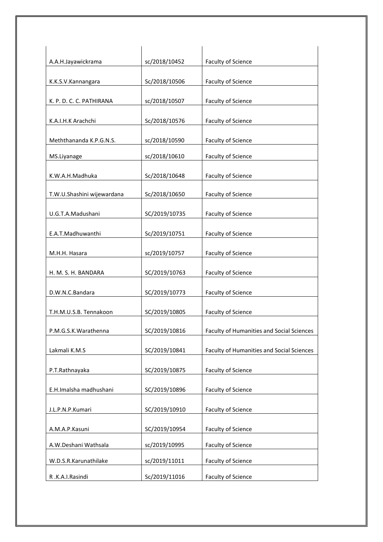| A.A.H.Jayawickrama         | sc/2018/10452 | <b>Faculty of Science</b>                        |
|----------------------------|---------------|--------------------------------------------------|
| K.K.S.V.Kannangara         | Sc/2018/10506 | Faculty of Science                               |
|                            |               |                                                  |
| K. P. D. C. C. PATHIRANA   | sc/2018/10507 | Faculty of Science                               |
|                            |               |                                                  |
| K.A.I.H.K Arachchi         | Sc/2018/10576 | <b>Faculty of Science</b>                        |
|                            |               |                                                  |
| Meththananda K.P.G.N.S.    | sc/2018/10590 | Faculty of Science                               |
| MS.Liyanage                | sc/2018/10610 | Faculty of Science                               |
|                            |               |                                                  |
| K.W.A.H.Madhuka            | Sc/2018/10648 | Faculty of Science                               |
| T.W.U.Shashini wijewardana | Sc/2018/10650 | Faculty of Science                               |
|                            |               |                                                  |
| U.G.T.A.Madushani          | SC/2019/10735 | Faculty of Science                               |
|                            |               |                                                  |
| E.A.T.Madhuwanthi          | Sc/2019/10751 | <b>Faculty of Science</b>                        |
|                            |               |                                                  |
| M.H.H. Hasara              | sc/2019/10757 | Faculty of Science                               |
|                            |               |                                                  |
| H. M. S. H. BANDARA        | SC/2019/10763 | <b>Faculty of Science</b>                        |
| D.W.N.C.Bandara            | SC/2019/10773 | Faculty of Science                               |
|                            |               |                                                  |
| T.H.M.U.S.B. Tennakoon     | SC/2019/10805 | Faculty of Science                               |
|                            |               |                                                  |
| P.M.G.S.K.Warathenna       | SC/2019/10816 | <b>Faculty of Humanities and Social Sciences</b> |
|                            |               |                                                  |
| Lakmali K.M.S              | SC/2019/10841 | Faculty of Humanities and Social Sciences        |
| P.T.Rathnayaka             | SC/2019/10875 | Faculty of Science                               |
|                            |               |                                                  |
| E.H.Imalsha madhushani     | SC/2019/10896 | Faculty of Science                               |
|                            |               |                                                  |
| J.L.P.N.P.Kumari           | SC/2019/10910 | Faculty of Science                               |
|                            |               |                                                  |
| A.M.A.P.Kasuni             | SC/2019/10954 | Faculty of Science                               |
| A.W.Deshani Wathsala       | sc/2019/10995 | Faculty of Science                               |
| W.D.S.R.Karunathilake      | sc/2019/11011 | Faculty of Science                               |
|                            |               |                                                  |
| R.K.A.I.Rasindi            | Sc/2019/11016 | Faculty of Science                               |